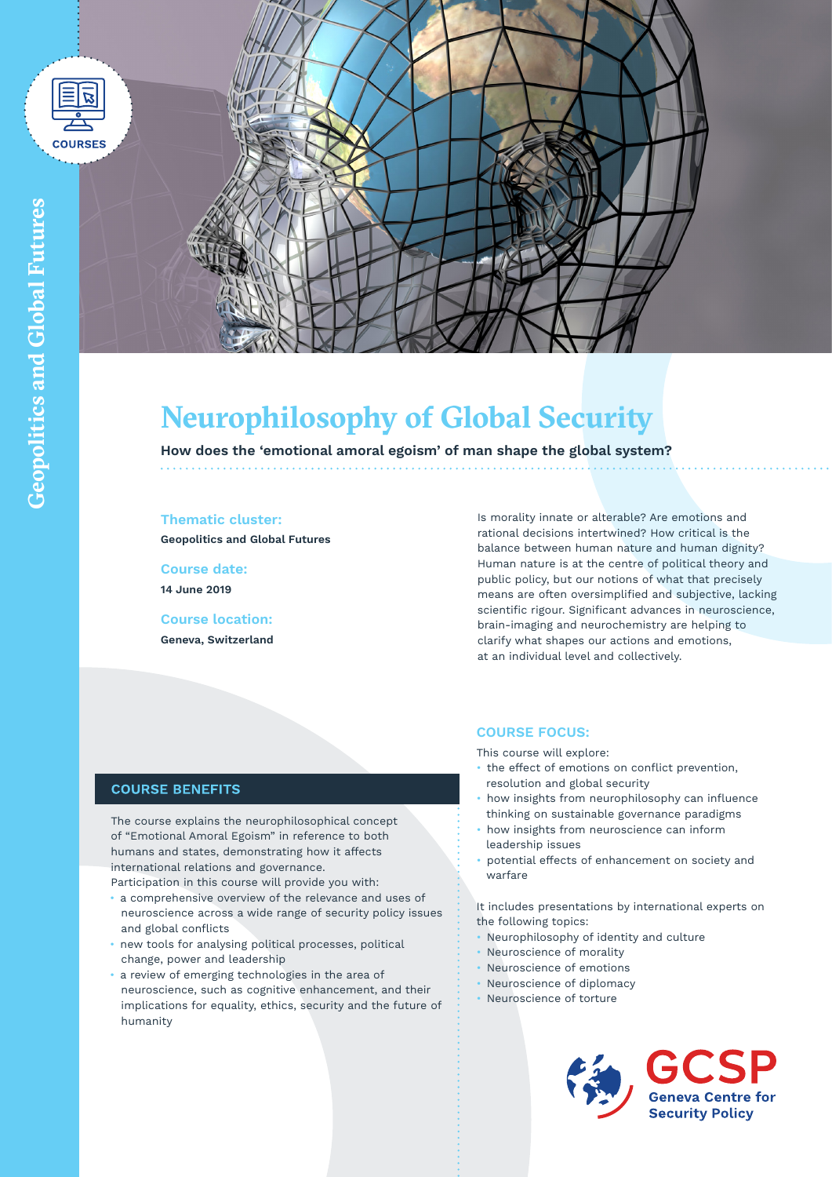



# **Neurophilosophy of Global Security**

**How does the 'emotional amoral egoism' of man shape the global system?**

## **Thematic cluster:**

**Geopolitics and Global Futures**

**Course date: 14 June 2019**

**Course location: Geneva, Switzerland** Is morality innate or alterable? Are emotions and rational decisions intertwined? How critical is the balance between human nature and human dignity? Human nature is at the centre of political theory and public policy, but our notions of what that precisely means are often oversimplified and subjective, lacking scientific rigour. Significant advances in neuroscience, brain-imaging and neurochemistry are helping to clarify what shapes our actions and emotions, at an individual level and collectively.

# **COURSE FOCUS:**

This course will explore:

- the effect of emotions on conflict prevention, resolution and global security
- how insights from neurophilosophy can influence thinking on sustainable governance paradigms
- how insights from neuroscience can inform leadership issues
- potential effects of enhancement on society and warfare

It includes presentations by international experts on the following topics:

- Neurophilosophy of identity and culture
- Neuroscience of morality
- Neuroscience of emotions
- Neuroscience of diplomacy
- Neuroscience of torture



**Global** 

**Futures**

## **COURSE BENEFITS**

The course explains the neurophilosophical concept of "Emotional Amoral Egoism" in reference to both humans and states, demonstrating how it affects international relations and governance.

Participation in this course will provide you with:

- a comprehensive overview of the relevance and uses of neuroscience across a wide range of security policy issues and global conflicts
- new tools for analysing political processes, political change, power and leadership
- a review of emerging technologies in the area of neuroscience, such as cognitive enhancement, and their implications for equality, ethics, security and the future of humanity